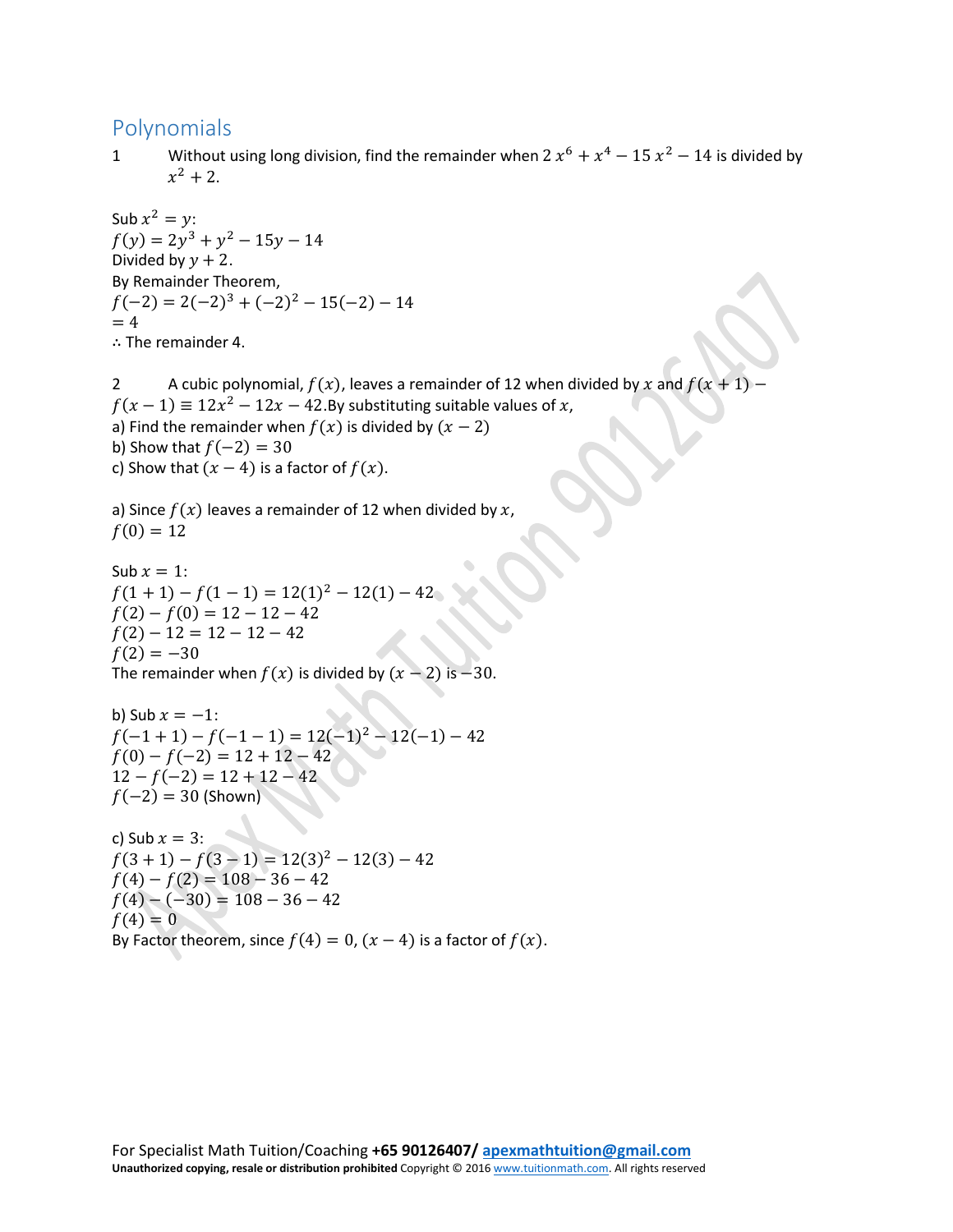## Polynomials

1 Without using long division, find the remainder when  $2x^6 + x^4 - 15x^2 - 14$  is divided by  $x^2 + 2$ .

Sub  $x^2 = y$ :  $f(y) = 2y^3 + y^2 - 15y - 14$ Divided by  $y + 2$ . By Remainder Theorem,  $f(-2) = 2(-2)^3 + (-2)^2 - 15(-2) - 14$  $= 4$ ∴ The remainder 4.

2 A cubic polynomial,  $f(x)$ , leaves a remainder of 12 when divided by x and  $f(x + 1)$  –  $f(x - 1) \equiv 12x^2 - 12x - 42$ . By substituting suitable values of x, a) Find the remainder when  $f(x)$  is divided by  $(x - 2)$ b) Show that  $f(-2) = 30$ c) Show that  $(x - 4)$  is a factor of  $f(x)$ .

a) Since  $f(x)$  leaves a remainder of 12 when divided by  $x$ ,  $f(0) = 12$ 

Sub  $x = 1$ :  $f(1 + 1) - f(1 - 1) = 12(1)^{2} - 12(1) - 42$  $f(2) - f(0) = 12 - 12 - 42$  $f(2) - 12 = 12 - 12 - 42$  $f(2) = -30$ The remainder when  $f(x)$  is divided by  $(x - 2)$  is  $-30$ .

b) Sub  $x = -1$ :  $f(-1 + 1) - f(-1 - 1) = 12(-1)^{2} - 12(-1) - 42$  $f(0) - f(-2) = 12 + 12 - 42$  $12 - f(-2) = 12 + 12 - 42$  $f(-2) = 30$  (Shown)

c) Sub  $x = 3$ :  $f(3 + 1) - f(3 - 1) = 12(3)^{2} - 12(3) - 42$  $f(4) - f(2) = 108 - 36 - 42$  $f(4) - (-30) = 108 - 36 - 42$  $f(4) = 0$ By Factor theorem, since  $f(4) = 0$ ,  $(x - 4)$  is a factor of  $f(x)$ .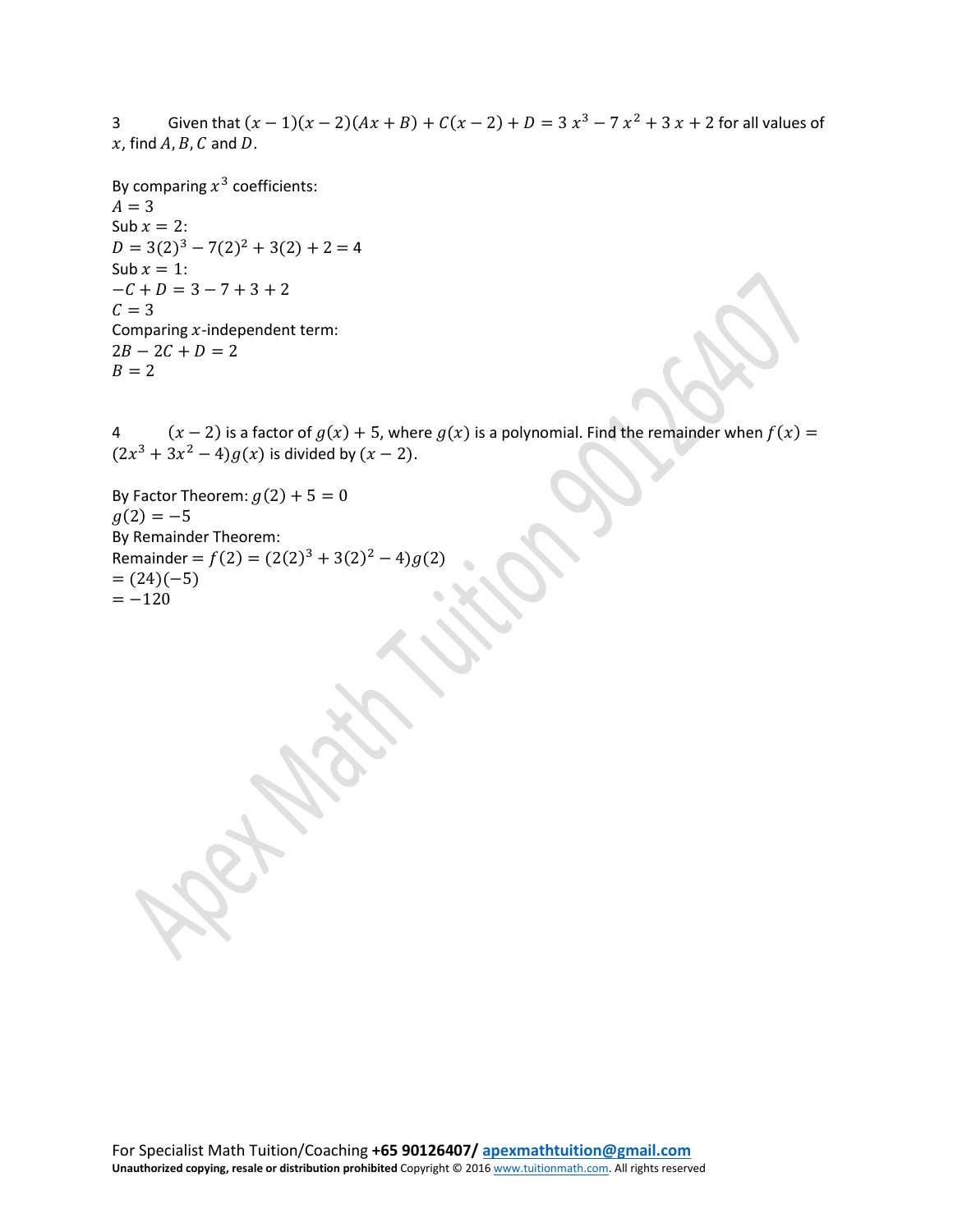3 Given that  $(x - 1)(x - 2)(Ax + B) + C(x - 2) + D = 3x^3 - 7x^2 + 3x + 2$  for all values of  $x$ , find  $A$ ,  $B$ ,  $C$  and  $D$ .

By comparing  $x^3$  coefficients:  $A = 3$ Sub  $x = 2$ :  $D = 3(2)^3 - 7(2)^2 + 3(2) + 2 = 4$ Sub  $x = 1$ :  $-C + D = 3 - 7 + 3 + 2$  $C = 3$ Comparing  $x$ -independent term:  $2B - 2C + D = 2$  $B = 2$ 

4  $(x - 2)$  is a factor of  $g(x) + 5$ , where  $g(x)$  is a polynomial. Find the remainder when  $f(x) =$  $(2x^3 + 3x^2 - 4)g(x)$  is divided by  $(x - 2)$ .

By Factor Theorem:  $g(2) + 5 = 0$  $g(2) = -5$ By Remainder Theorem: Remainder =  $f(2) = (2(2)<sup>3</sup> + 3(2)<sup>2</sup> – 4)g(2)$  $= (24)(-5)$  $=-120$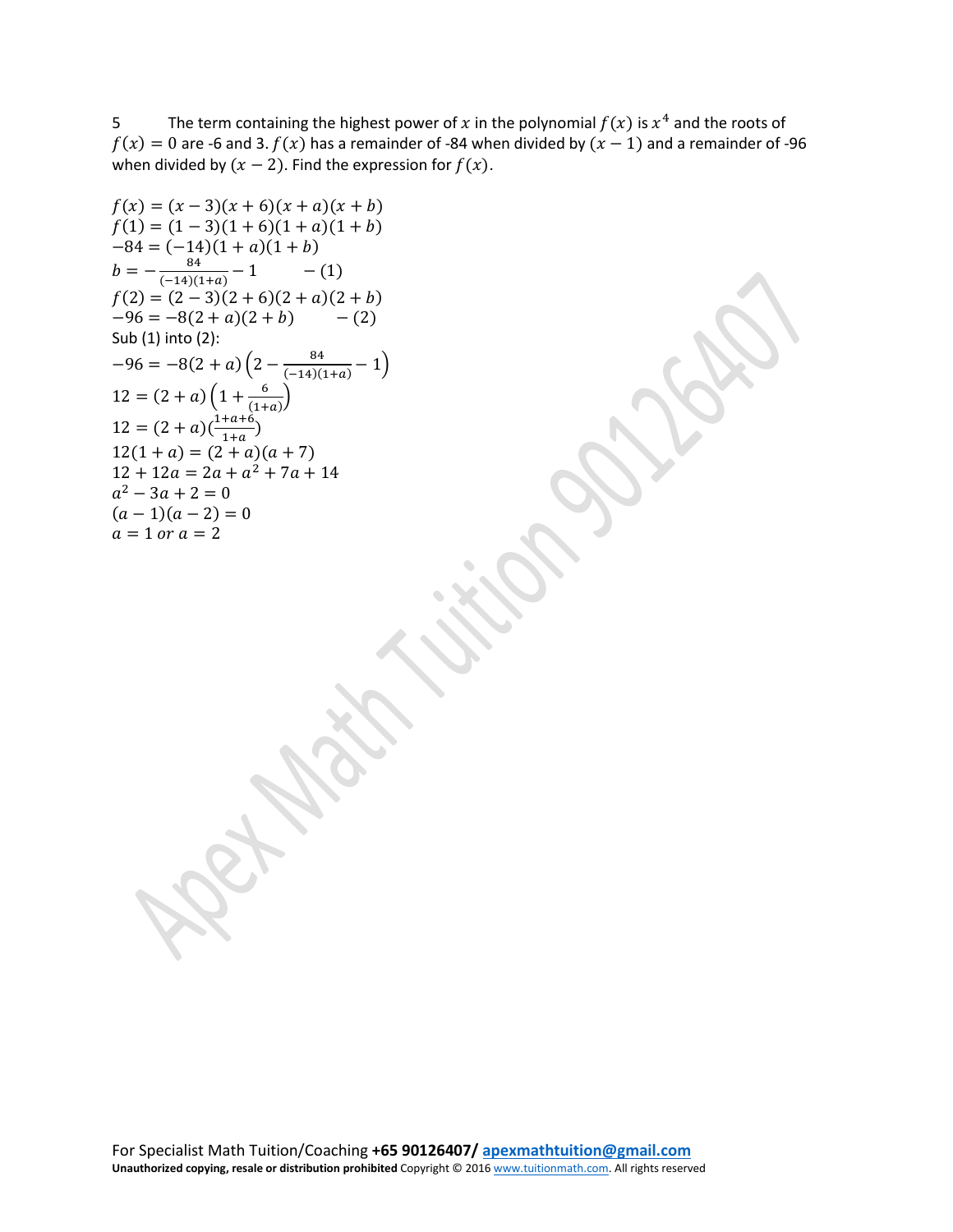5 The term containing the highest power of x in the polynomial  $f(x)$  is  $x^4$  and the roots of  $f(x) = 0$  are -6 and 3.  $f(x)$  has a remainder of -84 when divided by  $(x - 1)$  and a remainder of -96 when divided by  $(x - 2)$ . Find the expression for  $f(x)$ .

$$
f(x) = (x - 3)(x + 6)(x + a)(x + b)
$$
  
\n
$$
f(1) = (1 - 3)(1 + 6)(1 + a)(1 + b)
$$
  
\n
$$
-84 = (-14)(1 + a)(1 + b)
$$
  
\n
$$
b = -\frac{84}{(-14)(1+a)} - 1
$$
 (1)  
\n
$$
f(2) = (2 - 3)(2 + 6)(2 + a)(2 + b)
$$
  
\n
$$
-96 = -8(2 + a)(2 + b)
$$
 (2)  
\nSub (1) into (2):  
\n
$$
-96 = -8(2 + a)\left(2 - \frac{84}{(-14)(1+a)} - 1\right)
$$
  
\n
$$
12 = (2 + a)\left(1 + \frac{6}{(1+a)}\right)
$$
  
\n
$$
12 = (2 + a)\left(\frac{1 + a + 6}{1 + a}\right)
$$
  
\n
$$
12(1 + a) = (2 + a)(a + 7)
$$
  
\n
$$
12 + 12a = 2a + a^2 + 7a + 14
$$
  
\n
$$
a^2 - 3a + 2 = 0
$$
  
\n
$$
(a - 1)(a - 2) = 0
$$
  
\n
$$
a = 1 \text{ or } a = 2
$$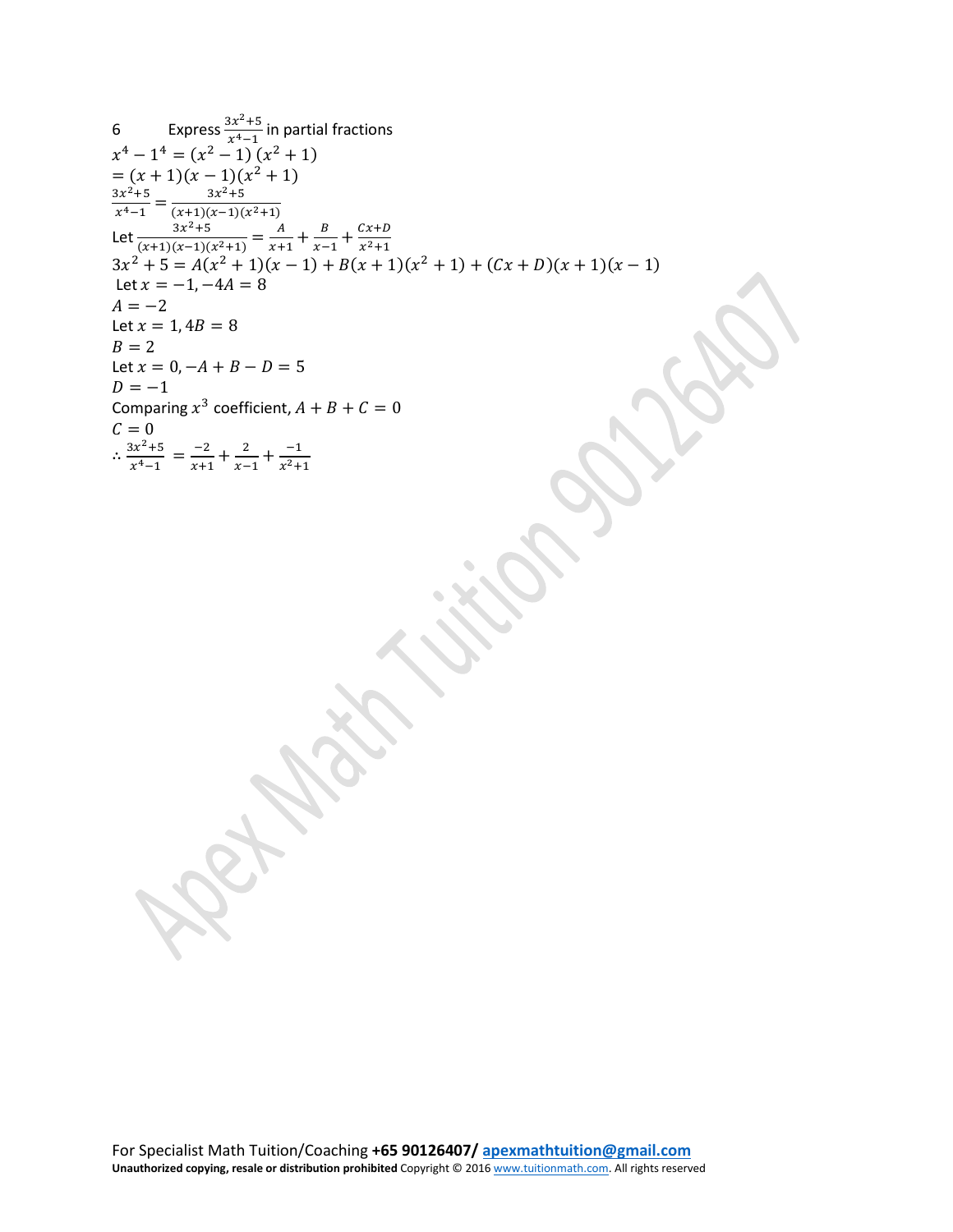6 Express 
$$
\frac{3x^2+5}{x^4-1}
$$
 in partial fractions  
\n $x^4 - 1^4 = (x^2 - 1)(x^2 + 1)$   
\n $= (x + 1)(x - 1)(x^2 + 1)$   
\n $= (x + 1)(x - 1)(x^2 + 1)$   
\n $\frac{3x^2+5}{x^4-1} = \frac{3x^2+5}{(x+1)(x-1)(x^2+1)} = \frac{A}{x+1} + \frac{B}{x-1} + \frac{Cx+D}{x^2+1}$   
\n $3x^2 + 5 = A(x^2 + 1)(x - 1) + B(x + 1)(x^2 + 1) + (Cx + D)(x + 1)(x - 1)$   
\nLet  $x = -1, -4A = 8$   
\n $A = -2$   
\nLet  $x = 1, 4B = 8$   
\n $B = 2$   
\nLet  $x = 0, -A + B - D = 5$   
\n $D = -1$   
\nComparing  $x^3$  coefficient,  $A + B + C = 0$   
\n $C = 0$   
\n $\therefore \frac{3x^2+5}{x^4-1} = \frac{-2}{x+1} + \frac{2}{x-1} + \frac{-1}{x^2+1}$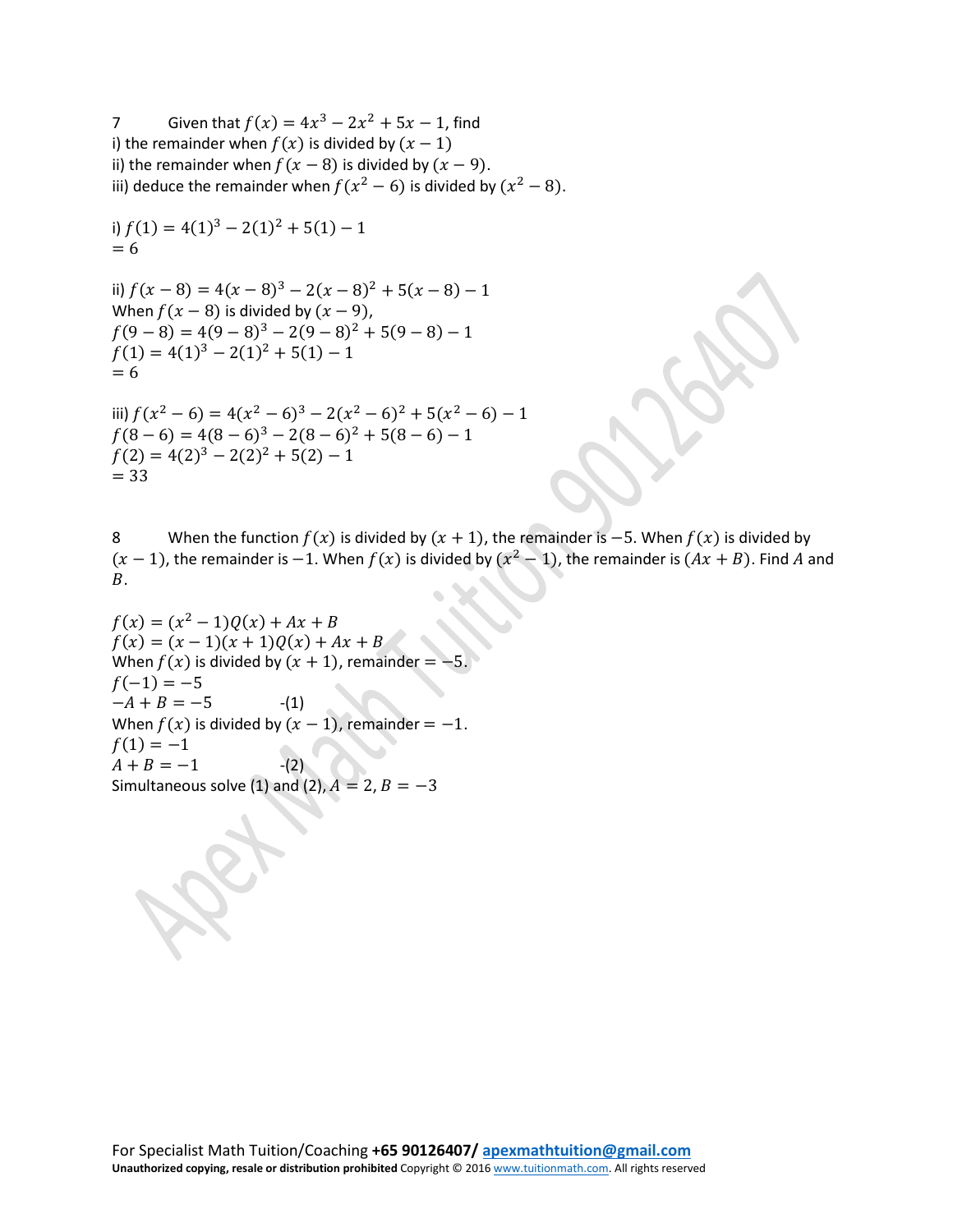7 Given that  $f(x) = 4x^3 - 2x^2 + 5x - 1$ , find i) the remainder when  $f(x)$  is divided by  $(x - 1)$ ii) the remainder when  $f(x - 8)$  is divided by  $(x - 9)$ . iii) deduce the remainder when  $f(x^2 - 6)$  is divided by  $(x^2 - 8)$ .

i) 
$$
f(1) = 4(1)^3 - 2(1)^2 + 5(1) - 1
$$
  
= 6

ii)  $f(x-8) = 4(x-8)^3 - 2(x-8)^2 + 5(x-8) - 1$ When  $f(x - 8)$  is divided by  $(x - 9)$ ,  $f(9-8) = 4(9-8)^3 - 2(9-8)^2 + 5(9-8) - 1$  $f(1) = 4(1)^3 - 2(1)^2 + 5(1) - 1$  $= 6$ 

iii)  $f(x^2-6) = 4(x^2-6)^3 - 2(x^2-6)^2 + 5(x^2-6) - 1$  $f(8-6) = 4(8-6)^3 - 2(8-6)^2 + 5(8-6) - 1$  $f(2) = 4(2)^3 - 2(2)^2 + 5(2) - 1$  $= 33$ 

8 When the function  $f(x)$  is divided by  $(x + 1)$ , the remainder is  $-5$ . When  $f(x)$  is divided by  $(x - 1)$ , the remainder is -1. When  $f(x)$  is divided by  $(x<sup>2</sup> - 1)$ , the remainder is  $(Ax + B)$ . Find A and  $B<sub>1</sub>$ 

 $f(x) = (x^2 - 1)Q(x) + Ax + B$  $f(x) = (x - 1)(x + 1)Q(x) + Ax + B$ When  $f(x)$  is divided by  $(x + 1)$ , remainder = -5.  $f(-1) = -5$  $-A + B = -5$  -(1) When  $f(x)$  is divided by  $(x - 1)$ , remainder = -1.  $f(1) = -1$  $A + B = -1$  -(2) Simultaneous solve (1) and (2),  $A = 2$ ,  $B = -3$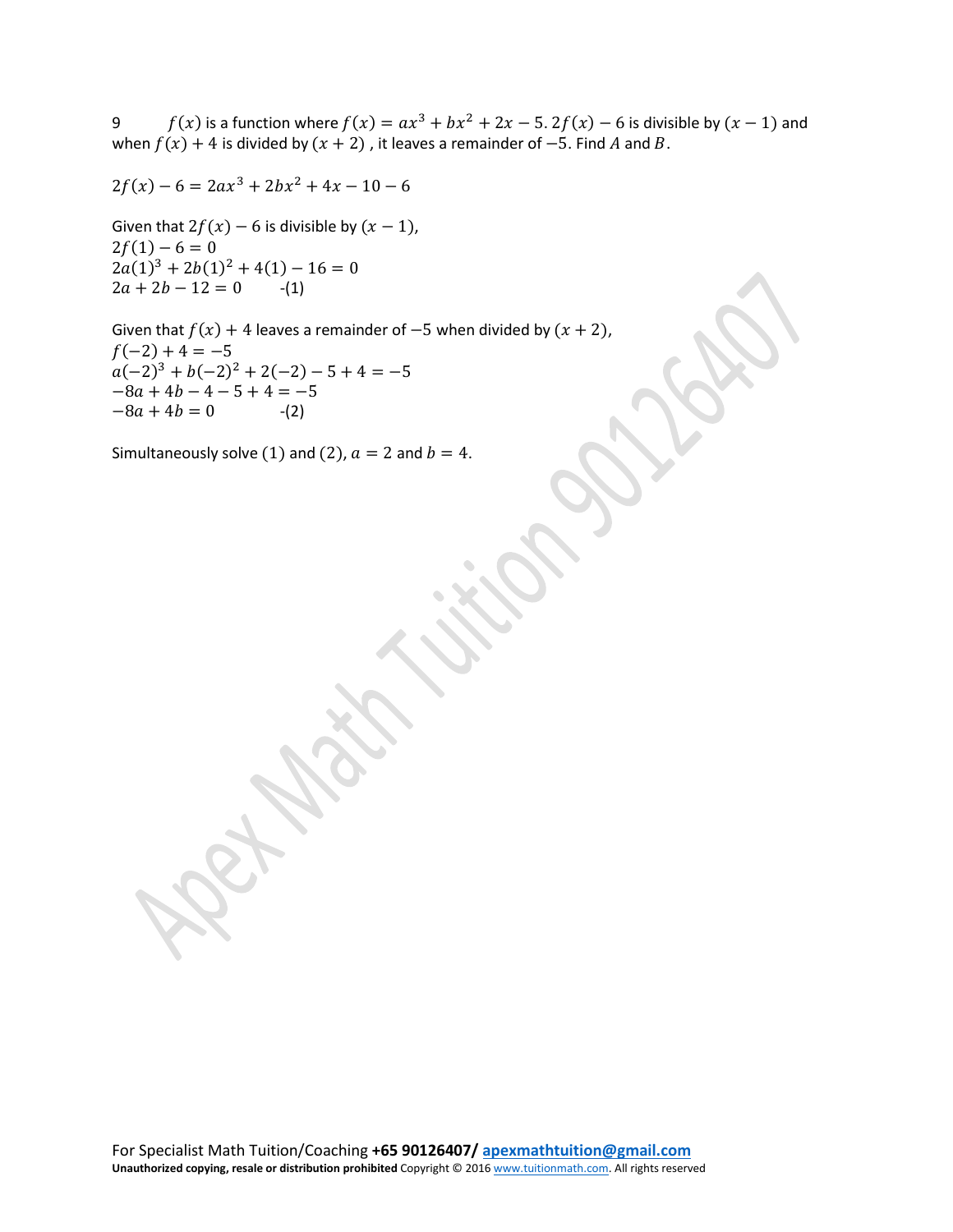9  $f(x)$  is a function where  $f(x) = ax^3 + bx^2 + 2x - 5$ .  $2f(x) - 6$  is divisible by  $(x - 1)$  and when  $f(x) + 4$  is divided by  $(x + 2)$ , it leaves a remainder of -5. Find A and B.

$$
2f(x) - 6 = 2ax^3 + 2bx^2 + 4x - 10 - 6
$$

Given that  $2f(x) - 6$  is divisible by  $(x - 1)$ ,  $2f(1) - 6 = 0$  $2a(1)^3 + 2b(1)^2 + 4(1) - 16 = 0$  $2a + 2b - 12 = 0$  -(1)

Given that  $f(x) + 4$  leaves a remainder of  $-5$  when divided by  $(x + 2)$ ,  $f(-2) + 4 = -5$  $a(-2)^3 + b(-2)^2 + 2(-2) - 5 + 4 = -5$  $-8a + 4b - 4 - 5 + 4 = -5$ <br>  $-8a + 4b = 0$  (2)  $-8a + 4b = 0$ 

Simultaneously solve (1) and (2),  $a = 2$  and  $b = 4$ .